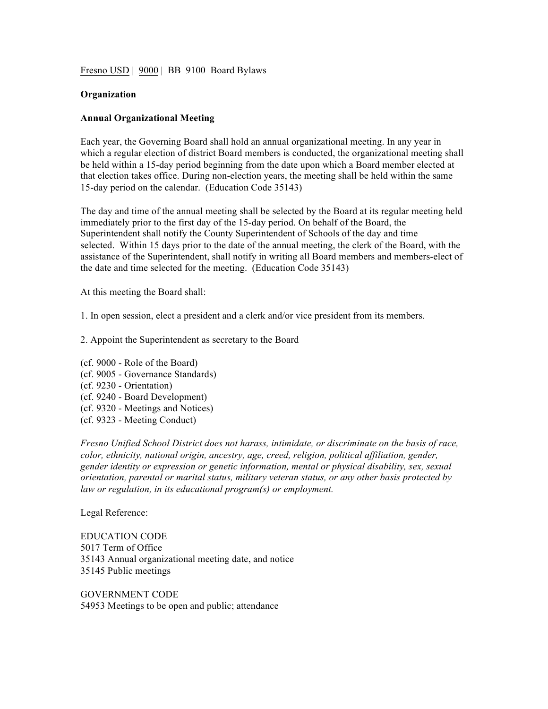Fresno USD | 9000 | BB 9100 Board Bylaws

## **Organization**

## **Annual Organizational Meeting**

Each year, the Governing Board shall hold an annual organizational meeting. In any year in which a regular election of district Board members is conducted, the organizational meeting shall be held within a 15-day period beginning from the date upon which a Board member elected at that election takes office. During non-election years, the meeting shall be held within the same 15-day period on the calendar. (Education Code 35143)

The day and time of the annual meeting shall be selected by the Board at its regular meeting held immediately prior to the first day of the 15-day period. On behalf of the Board, the Superintendent shall notify the County Superintendent of Schools of the day and time selected. Within 15 days prior to the date of the annual meeting, the clerk of the Board, with the assistance of the Superintendent, shall notify in writing all Board members and members-elect of the date and time selected for the meeting. (Education Code 35143)

At this meeting the Board shall:

1. In open session, elect a president and a clerk and/or vice president from its members.

- 2. Appoint the Superintendent as secretary to the Board
- (cf. 9000 Role of the Board) (cf. 9005 - Governance Standards) (cf. 9230 - Orientation) (cf. 9240 - Board Development) (cf. 9320 - Meetings and Notices) (cf. 9323 - Meeting Conduct)

*Fresno Unified School District does not harass, intimidate, or discriminate on the basis of race, color, ethnicity, national origin, ancestry, age, creed, religion, political affiliation, gender, gender identity or expression or genetic information, mental or physical disability, sex, sexual orientation, parental or marital status, military veteran status, or any other basis protected by law or regulation, in its educational program(s) or employment.*

Legal Reference:

EDUCATION CODE 5017 Term of Office 35143 Annual organizational meeting date, and notice 35145 Public meetings

GOVERNMENT CODE 54953 Meetings to be open and public; attendance